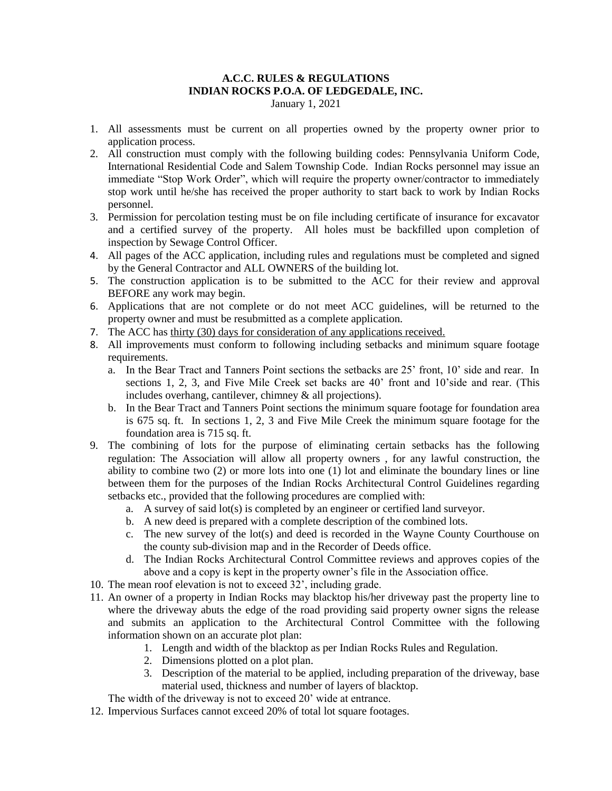### **A.C.C. RULES & REGULATIONS INDIAN ROCKS P.O.A. OF LEDGEDALE, INC.** January 1, 2021

- 1. All assessments must be current on all properties owned by the property owner prior to application process.
- 2. All construction must comply with the following building codes: Pennsylvania Uniform Code, International Residential Code and Salem Township Code. Indian Rocks personnel may issue an immediate "Stop Work Order", which will require the property owner/contractor to immediately stop work until he/she has received the proper authority to start back to work by Indian Rocks personnel.
- 3. Permission for percolation testing must be on file including certificate of insurance for excavator and a certified survey of the property. All holes must be backfilled upon completion of inspection by Sewage Control Officer.
- 4. All pages of the ACC application, including rules and regulations must be completed and signed by the General Contractor and ALL OWNERS of the building lot.
- 5. The construction application is to be submitted to the ACC for their review and approval BEFORE any work may begin.
- 6. Applications that are not complete or do not meet ACC guidelines, will be returned to the property owner and must be resubmitted as a complete application.
- 7. The ACC has thirty (30) days for consideration of any applications received.
- 8. All improvements must conform to following including setbacks and minimum square footage requirements.
	- a. In the Bear Tract and Tanners Point sections the setbacks are 25' front, 10' side and rear. In sections 1, 2, 3, and Five Mile Creek set backs are 40' front and 10'side and rear. (This includes overhang, cantilever, chimney & all projections).
	- b. In the Bear Tract and Tanners Point sections the minimum square footage for foundation area is 675 sq. ft. In sections 1, 2, 3 and Five Mile Creek the minimum square footage for the foundation area is 715 sq. ft.
- 9. The combining of lots for the purpose of eliminating certain setbacks has the following regulation: The Association will allow all property owners , for any lawful construction, the ability to combine two (2) or more lots into one (1) lot and eliminate the boundary lines or line between them for the purposes of the Indian Rocks Architectural Control Guidelines regarding setbacks etc., provided that the following procedures are complied with:
	- a. A survey of said lot(s) is completed by an engineer or certified land surveyor.
	- b. A new deed is prepared with a complete description of the combined lots.
	- c. The new survey of the lot(s) and deed is recorded in the Wayne County Courthouse on the county sub-division map and in the Recorder of Deeds office.
	- d. The Indian Rocks Architectural Control Committee reviews and approves copies of the above and a copy is kept in the property owner's file in the Association office.
- 10. The mean roof elevation is not to exceed 32', including grade.
- 11. An owner of a property in Indian Rocks may blacktop his/her driveway past the property line to where the driveway abuts the edge of the road providing said property owner signs the release and submits an application to the Architectural Control Committee with the following information shown on an accurate plot plan:
	- 1. Length and width of the blacktop as per Indian Rocks Rules and Regulation.
	- 2. Dimensions plotted on a plot plan.
	- 3. Description of the material to be applied, including preparation of the driveway, base material used, thickness and number of layers of blacktop.

The width of the driveway is not to exceed 20' wide at entrance.

12. Impervious Surfaces cannot exceed 20% of total lot square footages.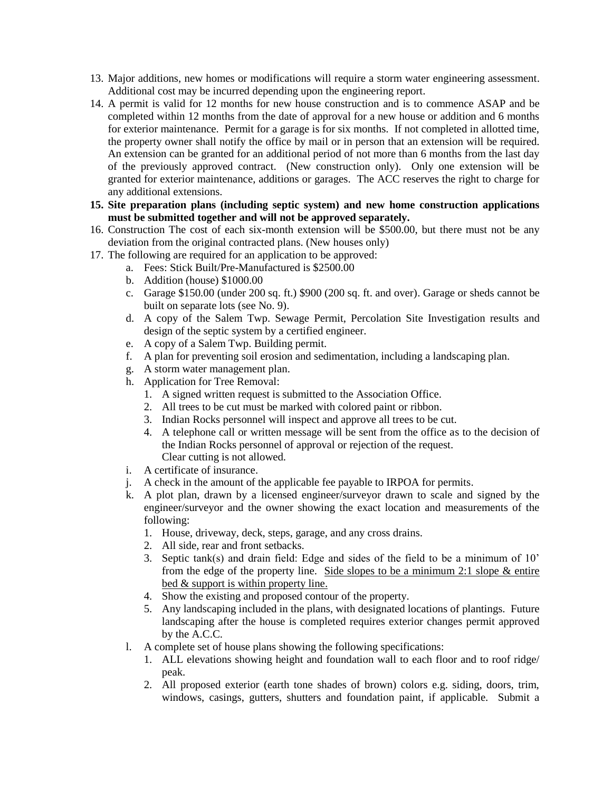- 13. Major additions, new homes or modifications will require a storm water engineering assessment. Additional cost may be incurred depending upon the engineering report.
- 14. A permit is valid for 12 months for new house construction and is to commence ASAP and be completed within 12 months from the date of approval for a new house or addition and 6 months for exterior maintenance. Permit for a garage is for six months. If not completed in allotted time, the property owner shall notify the office by mail or in person that an extension will be required. An extension can be granted for an additional period of not more than 6 months from the last day of the previously approved contract. (New construction only). Only one extension will be granted for exterior maintenance, additions or garages. The ACC reserves the right to charge for any additional extensions.
- **15. Site preparation plans (including septic system) and new home construction applications must be submitted together and will not be approved separately.**
- 16. Construction The cost of each six-month extension will be \$500.00, but there must not be any deviation from the original contracted plans. (New houses only)
- 17. The following are required for an application to be approved:
	- a. Fees: Stick Built/Pre-Manufactured is \$2500.00
	- b. Addition (house) \$1000.00
	- c. Garage \$150.00 (under 200 sq. ft.) \$900 (200 sq. ft. and over). Garage or sheds cannot be built on separate lots (see No. 9).
	- d. A copy of the Salem Twp. Sewage Permit, Percolation Site Investigation results and design of the septic system by a certified engineer.
	- e. A copy of a Salem Twp. Building permit.
	- f. A plan for preventing soil erosion and sedimentation, including a landscaping plan.
	- g. A storm water management plan.
	- h. Application for Tree Removal:
		- 1. A signed written request is submitted to the Association Office.
		- 2. All trees to be cut must be marked with colored paint or ribbon.
		- 3. Indian Rocks personnel will inspect and approve all trees to be cut.
		- 4. A telephone call or written message will be sent from the office as to the decision of the Indian Rocks personnel of approval or rejection of the request. Clear cutting is not allowed.
	- i. A certificate of insurance.
	- j. A check in the amount of the applicable fee payable to IRPOA for permits.
	- k. A plot plan, drawn by a licensed engineer/surveyor drawn to scale and signed by the engineer/surveyor and the owner showing the exact location and measurements of the following:
		- 1. House, driveway, deck, steps, garage, and any cross drains.
		- 2. All side, rear and front setbacks.
		- 3. Septic tank(s) and drain field: Edge and sides of the field to be a minimum of 10' from the edge of the property line. Side slopes to be a minimum 2:1 slope  $&$  entire bed & support is within property line.
		- 4. Show the existing and proposed contour of the property.
		- 5. Any landscaping included in the plans, with designated locations of plantings. Future landscaping after the house is completed requires exterior changes permit approved by the A.C.C.
	- l. A complete set of house plans showing the following specifications:
		- 1. ALL elevations showing height and foundation wall to each floor and to roof ridge/ peak.
		- 2. All proposed exterior (earth tone shades of brown) colors e.g. siding, doors, trim, windows, casings, gutters, shutters and foundation paint, if applicable. Submit a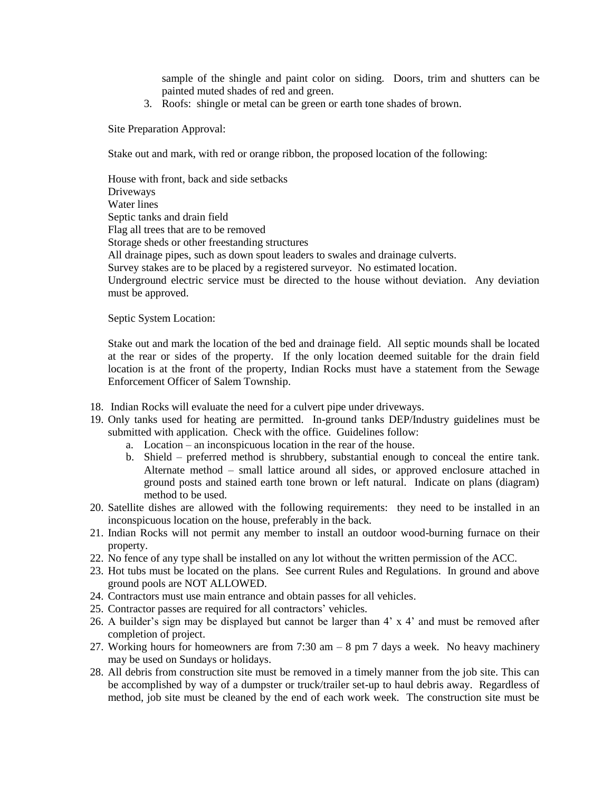sample of the shingle and paint color on siding. Doors, trim and shutters can be painted muted shades of red and green.

3. Roofs: shingle or metal can be green or earth tone shades of brown.

Site Preparation Approval:

Stake out and mark, with red or orange ribbon, the proposed location of the following:

House with front, back and side setbacks Driveways Water lines Septic tanks and drain field Flag all trees that are to be removed Storage sheds or other freestanding structures All drainage pipes, such as down spout leaders to swales and drainage culverts. Survey stakes are to be placed by a registered surveyor. No estimated location. Underground electric service must be directed to the house without deviation. Any deviation must be approved.

Septic System Location:

Stake out and mark the location of the bed and drainage field. All septic mounds shall be located at the rear or sides of the property. If the only location deemed suitable for the drain field location is at the front of the property, Indian Rocks must have a statement from the Sewage Enforcement Officer of Salem Township.

- 18. Indian Rocks will evaluate the need for a culvert pipe under driveways.
- 19. Only tanks used for heating are permitted. In-ground tanks DEP/Industry guidelines must be submitted with application. Check with the office. Guidelines follow:
	- a. Location an inconspicuous location in the rear of the house.
	- b. Shield preferred method is shrubbery, substantial enough to conceal the entire tank. Alternate method – small lattice around all sides, or approved enclosure attached in ground posts and stained earth tone brown or left natural. Indicate on plans (diagram) method to be used.
- 20. Satellite dishes are allowed with the following requirements: they need to be installed in an inconspicuous location on the house, preferably in the back.
- 21. Indian Rocks will not permit any member to install an outdoor wood-burning furnace on their property.
- 22. No fence of any type shall be installed on any lot without the written permission of the ACC.
- 23. Hot tubs must be located on the plans. See current Rules and Regulations. In ground and above ground pools are NOT ALLOWED.
- 24. Contractors must use main entrance and obtain passes for all vehicles.
- 25. Contractor passes are required for all contractors' vehicles.
- 26. A builder's sign may be displayed but cannot be larger than 4' x 4' and must be removed after completion of project.
- 27. Working hours for homeowners are from  $7:30$  am  $-8$  pm  $7$  days a week. No heavy machinery may be used on Sundays or holidays.
- 28. All debris from construction site must be removed in a timely manner from the job site. This can be accomplished by way of a dumpster or truck/trailer set-up to haul debris away. Regardless of method, job site must be cleaned by the end of each work week. The construction site must be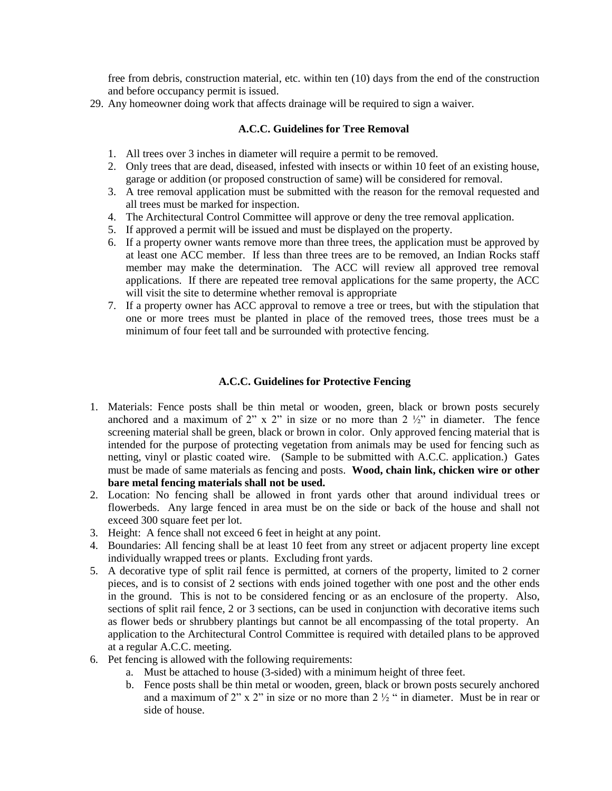free from debris, construction material, etc. within ten (10) days from the end of the construction and before occupancy permit is issued.

29. Any homeowner doing work that affects drainage will be required to sign a waiver.

# **A.C.C. Guidelines for Tree Removal**

- 1. All trees over 3 inches in diameter will require a permit to be removed.
- 2. Only trees that are dead, diseased, infested with insects or within 10 feet of an existing house, garage or addition (or proposed construction of same) will be considered for removal.
- 3. A tree removal application must be submitted with the reason for the removal requested and all trees must be marked for inspection.
- 4. The Architectural Control Committee will approve or deny the tree removal application.
- 5. If approved a permit will be issued and must be displayed on the property.
- 6. If a property owner wants remove more than three trees, the application must be approved by at least one ACC member. If less than three trees are to be removed, an Indian Rocks staff member may make the determination. The ACC will review all approved tree removal applications. If there are repeated tree removal applications for the same property, the ACC will visit the site to determine whether removal is appropriate
- 7. If a property owner has ACC approval to remove a tree or trees, but with the stipulation that one or more trees must be planted in place of the removed trees, those trees must be a minimum of four feet tall and be surrounded with protective fencing.

## **A.C.C. Guidelines for Protective Fencing**

- 1. Materials: Fence posts shall be thin metal or wooden, green, black or brown posts securely anchored and a maximum of 2" x 2" in size or no more than 2  $\frac{1}{2}$ " in diameter. The fence screening material shall be green, black or brown in color. Only approved fencing material that is intended for the purpose of protecting vegetation from animals may be used for fencing such as netting, vinyl or plastic coated wire. (Sample to be submitted with A.C.C. application.) Gates must be made of same materials as fencing and posts. **Wood, chain link, chicken wire or other bare metal fencing materials shall not be used.**
- 2. Location: No fencing shall be allowed in front yards other that around individual trees or flowerbeds. Any large fenced in area must be on the side or back of the house and shall not exceed 300 square feet per lot.
- 3. Height: A fence shall not exceed 6 feet in height at any point.
- 4. Boundaries: All fencing shall be at least 10 feet from any street or adjacent property line except individually wrapped trees or plants. Excluding front yards.
- 5. A decorative type of split rail fence is permitted, at corners of the property, limited to 2 corner pieces, and is to consist of 2 sections with ends joined together with one post and the other ends in the ground. This is not to be considered fencing or as an enclosure of the property. Also, sections of split rail fence, 2 or 3 sections, can be used in conjunction with decorative items such as flower beds or shrubbery plantings but cannot be all encompassing of the total property. An application to the Architectural Control Committee is required with detailed plans to be approved at a regular A.C.C. meeting.
- 6. Pet fencing is allowed with the following requirements:
	- a. Must be attached to house (3-sided) with a minimum height of three feet.
	- b. Fence posts shall be thin metal or wooden, green, black or brown posts securely anchored and a maximum of 2" x 2" in size or no more than 2 ½ " in diameter. Must be in rear or side of house.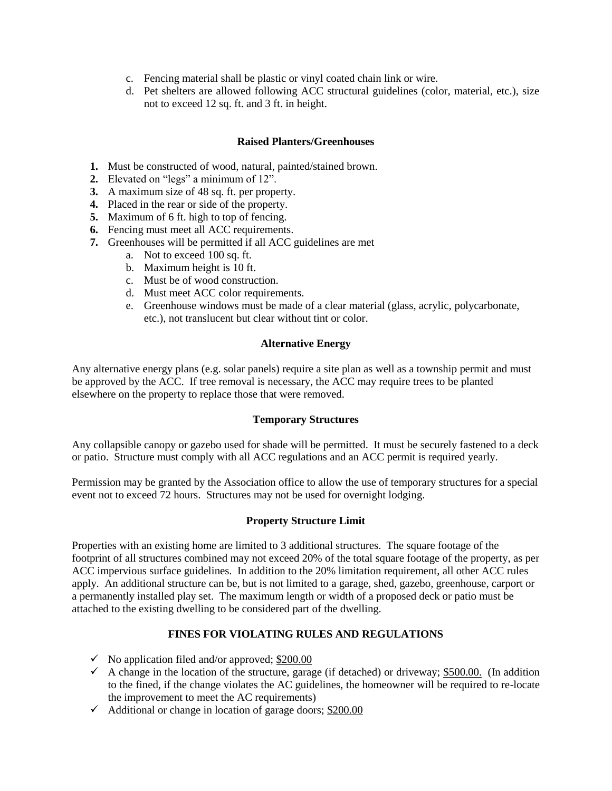- c. Fencing material shall be plastic or vinyl coated chain link or wire.
- d. Pet shelters are allowed following ACC structural guidelines (color, material, etc.), size not to exceed 12 sq. ft. and 3 ft. in height.

## **Raised Planters/Greenhouses**

- **1.** Must be constructed of wood, natural, painted/stained brown.
- **2.** Elevated on "legs" a minimum of 12".
- **3.** A maximum size of 48 sq. ft. per property.
- **4.** Placed in the rear or side of the property.
- **5.** Maximum of 6 ft. high to top of fencing.
- **6.** Fencing must meet all ACC requirements.
- **7.** Greenhouses will be permitted if all ACC guidelines are met
	- a. Not to exceed 100 sq. ft.
	- b. Maximum height is 10 ft.
	- c. Must be of wood construction.
	- d. Must meet ACC color requirements.
	- e. Greenhouse windows must be made of a clear material (glass, acrylic, polycarbonate, etc.), not translucent but clear without tint or color.

### **Alternative Energy**

Any alternative energy plans (e.g. solar panels) require a site plan as well as a township permit and must be approved by the ACC. If tree removal is necessary, the ACC may require trees to be planted elsewhere on the property to replace those that were removed.

#### **Temporary Structures**

Any collapsible canopy or gazebo used for shade will be permitted. It must be securely fastened to a deck or patio. Structure must comply with all ACC regulations and an ACC permit is required yearly.

Permission may be granted by the Association office to allow the use of temporary structures for a special event not to exceed 72 hours. Structures may not be used for overnight lodging.

#### **Property Structure Limit**

Properties with an existing home are limited to 3 additional structures. The square footage of the footprint of all structures combined may not exceed 20% of the total square footage of the property, as per ACC impervious surface guidelines. In addition to the 20% limitation requirement, all other ACC rules apply. An additional structure can be, but is not limited to a garage, shed, gazebo, greenhouse, carport or a permanently installed play set. The maximum length or width of a proposed deck or patio must be attached to the existing dwelling to be considered part of the dwelling.

# **FINES FOR VIOLATING RULES AND REGULATIONS**

- $\checkmark$  No application filed and/or approved; \$200.00
- $\checkmark$  A change in the location of the structure, garage (if detached) or driveway; \$500.00. (In addition to the fined, if the change violates the AC guidelines, the homeowner will be required to re-locate the improvement to meet the AC requirements)
- $\checkmark$  Additional or change in location of garage doors; \$200.00